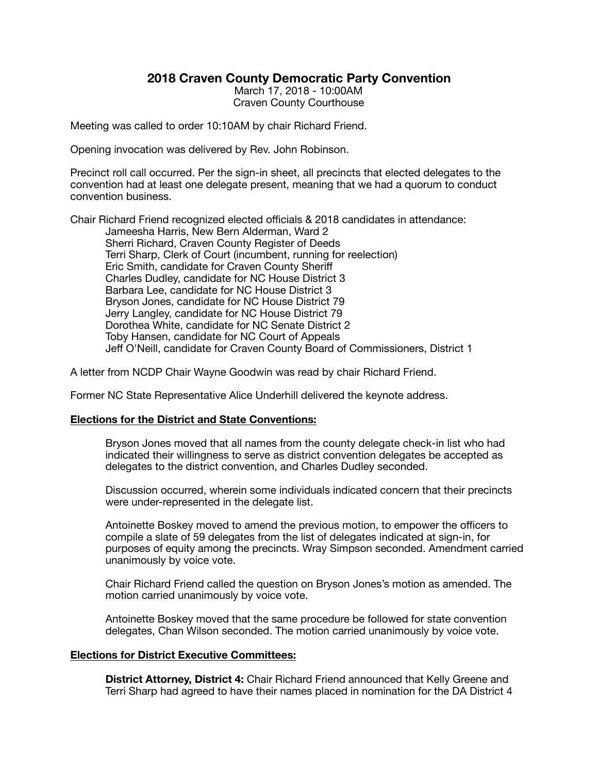## **2018 Craven County Democratic Party Convention**

March 17, 2018 - 10:00AM Craven County Courthouse

Meeting was called to order 10:10AM by chair Richard Friend.

Opening invocation was delivered by Rev. John Robinson.

Precinct roll call occurred. Per the sign-in sheet, all precincts that elected delegates to the convention had at least one delegate present, meaning that we had a quorum to conduct convention business.

Chair Richard Friend recognized elected officials & 2018 candidates in attendance:

Jameesha Harris, New Bern Alderman, Ward 2 Sherri Richard, Craven County Register of Deeds Terri Sharp, Clerk of Court (incumbent, running for reelection) Eric Smith, candidate for Craven County Sheriff Charles Dudley, candidate for NC House District 3 Barbara Lee, candidate for NC House District 3 Bryson Jones, candidate for NC House District 79 Jerry Langley, candidate for NC House District 79 Dorothea White, candidate for NC Senate District 2 Toby Hansen, candidate for NC Court of Appeals Jeff O'Neill, candidate for Craven County Board of Commissioners, District 1

A letter from NCDP Chair Wayne Goodwin was read by chair Richard Friend.

Former NC State Representative Alice Underhill delivered the keynote address.

## **Elections for the District and State Conventions:**

Bryson Jones moved that all names from the county delegate check-in list who had indicated their willingness to serve as district convention delegates be accepted as delegates to the district convention, and Charles Dudley seconded.

Discussion occurred, wherein some individuals indicated concern that their precincts were under-represented in the delegate list.

Antoinette Boskey moved to amend the previous motion, to empower the officers to compile a slate of 59 delegates from the list of delegates indicated at sign-in, for purposes of equity among the precincts. Wray Simpson seconded. Amendment carried unanimously by voice vote.

Chair Richard Friend called the question on Bryson Jones's motion as amended. The motion carried unanimously by voice vote.

Antoinette Boskey moved that the same procedure be followed for state convention delegates, Chan Wilson seconded. The motion carried unanimously by voice vote.

## **Elections for District Executive Committees:**

**District Attorney, District 4:** Chair Richard Friend announced that Kelly Greene and Terri Sharp had agreed to have their names placed in nomination for the DA District 4